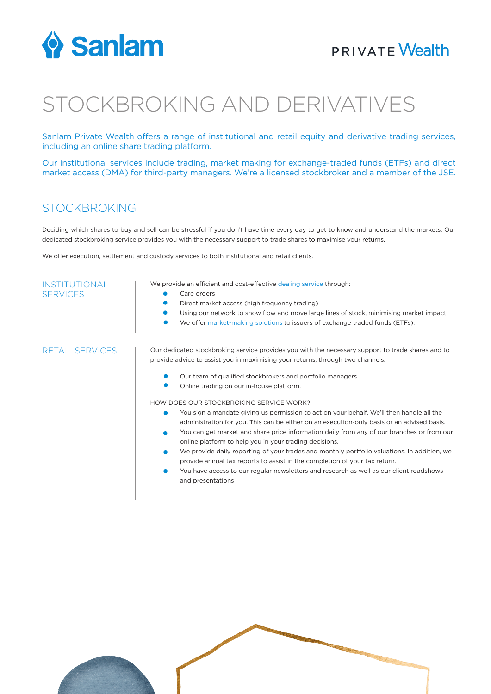

## **PRIVATE Wealth**

# STOCKBROKING AND DERIVATIVES

Sanlam Private Wealth offers a range of institutional and retail equity and derivative trading services, including an online share trading platform.

Our institutional services include trading, market making for exchange-traded funds (ETFs) and direct market access (DMA) for third-party managers. We're a licensed stockbroker and a member of the JSE.

#### STOCKBROKING

Deciding which shares to buy and sell can be stressful if you don't have time every day to get to know and understand the markets. Our dedicated stockbroking service provides you with the necessary support to trade shares to maximise your returns.

We offer execution, settlement and custody services to both institutional and retail clients.

| <b>INSTITUTIONAL</b><br><b>SERVICES</b> | We provide an efficient and cost-effective dealing service through:                                      |
|-----------------------------------------|----------------------------------------------------------------------------------------------------------|
|                                         | Care orders                                                                                              |
|                                         | Direct market access (high frequency trading)                                                            |
|                                         | Using our network to show flow and move large lines of stock, minimising market impact                   |
|                                         | We offer market-making solutions to issuers of exchange traded funds (ETFs).                             |
| <b>RETAIL SERVICES</b>                  | Our dedicated stockbroking service provides you with the necessary support to trade shares and to        |
|                                         | provide advice to assist you in maximising your returns, through two channels:                           |
|                                         | Our team of qualified stockbrokers and portfolio managers                                                |
|                                         | Online trading on our in-house platform.                                                                 |
|                                         | HOW DOES OUR STOCKBROKING SERVICE WORK?                                                                  |
|                                         | You sign a mandate giving us permission to act on your behalf. We'll then handle all the<br>٠            |
|                                         | administration for you. This can be either on an execution-only basis or an advised basis.               |
|                                         | You can get market and share price information daily from any of our branches or from our<br>$\bullet$   |
|                                         | online platform to help you in your trading decisions.                                                   |
|                                         | We provide daily reporting of your trades and monthly portfolio valuations. In addition, we<br>$\bullet$ |
|                                         | provide annual tax reports to assist in the completion of your tax return.                               |
|                                         |                                                                                                          |

You have access to our regular newsletters and research as well as our client roadshows and presentations